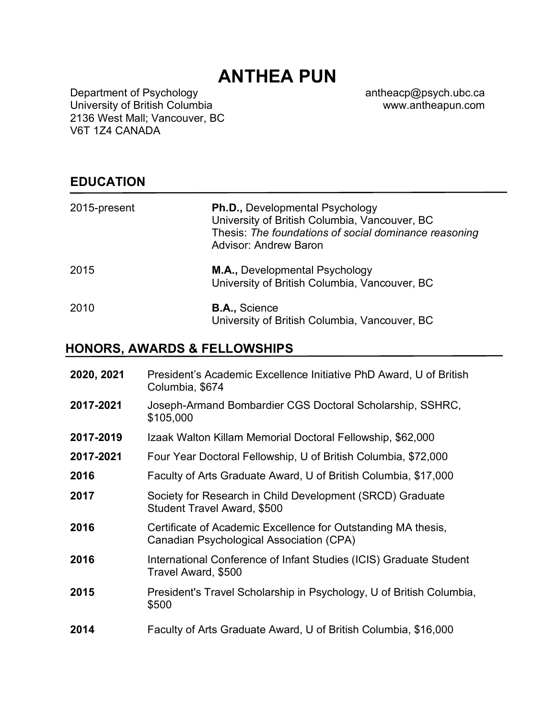# **ANTHEA PUN**

Department of Psychology University of British Columbia 2136 West Mall; Vancouver, BC V6T 1Z4 CANADA

antheacp@psych.ubc.ca www.antheapun.com

# **EDUCATION**

| 2015-present | <b>Ph.D., Developmental Psychology</b><br>University of British Columbia, Vancouver, BC<br>Thesis: The foundations of social dominance reasoning<br><b>Advisor: Andrew Baron</b> |
|--------------|----------------------------------------------------------------------------------------------------------------------------------------------------------------------------------|
| 2015         | M.A., Developmental Psychology<br>University of British Columbia, Vancouver, BC                                                                                                  |
| 2010         | <b>B.A., Science</b><br>University of British Columbia, Vancouver, BC                                                                                                            |

## **HONORS, AWARDS & FELLOWSHIPS**

| 2020, 2021 | President's Academic Excellence Initiative PhD Award, U of British<br>Columbia, \$674                     |
|------------|-----------------------------------------------------------------------------------------------------------|
| 2017-2021  | Joseph-Armand Bombardier CGS Doctoral Scholarship, SSHRC,<br>\$105,000                                    |
| 2017-2019  | Izaak Walton Killam Memorial Doctoral Fellowship, \$62,000                                                |
| 2017-2021  | Four Year Doctoral Fellowship, U of British Columbia, \$72,000                                            |
| 2016       | Faculty of Arts Graduate Award, U of British Columbia, \$17,000                                           |
| 2017       | Society for Research in Child Development (SRCD) Graduate<br><b>Student Travel Award, \$500</b>           |
| 2016       | Certificate of Academic Excellence for Outstanding MA thesis,<br>Canadian Psychological Association (CPA) |
| 2016       | International Conference of Infant Studies (ICIS) Graduate Student<br>Travel Award, \$500                 |
| 2015       | President's Travel Scholarship in Psychology, U of British Columbia,<br>\$500                             |
| 2014       | Faculty of Arts Graduate Award, U of British Columbia, \$16,000                                           |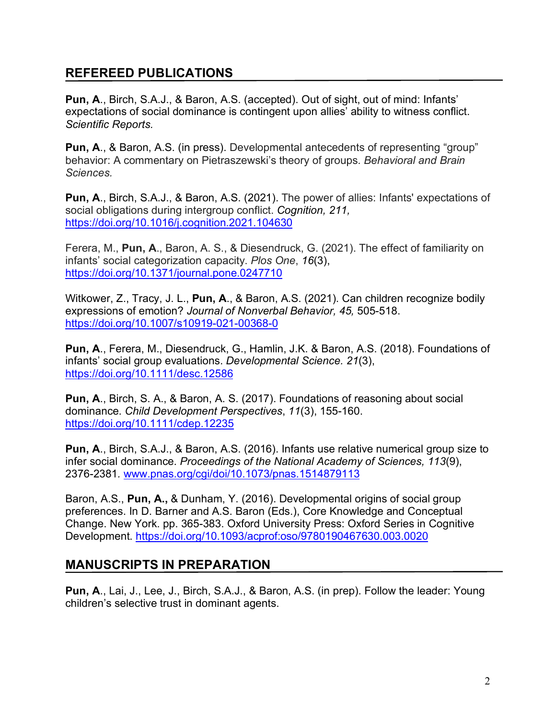# **REFEREED PUBLICATIONS**

**Pun, A**., Birch, S.A.J., & Baron, A.S. (accepted). Out of sight, out of mind: Infants' expectations of social dominance is contingent upon allies' ability to witness conflict. *Scientific Reports.* 

**Pun, A**., & Baron, A.S. (in press). Developmental antecedents of representing "group" behavior: A commentary on Pietraszewski's theory of groups. *Behavioral and Brain Sciences.*

**Pun, A**., Birch, S.A.J., & Baron, A.S. (2021). The power of allies: Infants' expectations of social obligations during intergroup conflict. *Cognition, 211,* https://doi.org/10.1016/j.cognition.2021.104630

Ferera, M., **Pun, A**., Baron, A. S., & Diesendruck, G. (2021). The effect of familiarity on infants' social categorization capacity. *Plos One*, *16*(3), https://doi.org/10.1371/journal.pone.0247710

Witkower, Z., Tracy, J. L., **Pun, A**., & Baron, A.S. (2021). Can children recognize bodily expressions of emotion? *Journal of Nonverbal Behavior, 45,* 505-518. https://doi.org/10.1007/s10919-021-00368-0

**Pun, A**., Ferera, M., Diesendruck, G., Hamlin, J.K. & Baron, A.S. (2018). Foundations of infants' social group evaluations. *Developmental Science. 21*(3), https://doi.org/10.1111/desc.12586

**Pun, A**., Birch, S. A., & Baron, A. S. (2017). Foundations of reasoning about social dominance. *Child Development Perspectives*, *11*(3), 155-160. https://doi.org/10.1111/cdep.12235

**Pun, A**., Birch, S.A.J., & Baron, A.S. (2016). Infants use relative numerical group size to infer social dominance. *Proceedings of the National Academy of Sciences, 113*(9), 2376-2381*.* www.pnas.org/cgi/doi/10.1073/pnas.1514879113

Baron, A.S., **Pun, A.,** & Dunham, Y. (2016). Developmental origins of social group preferences. In D. Barner and A.S. Baron (Eds.), Core Knowledge and Conceptual Change. New York. pp. 365-383. Oxford University Press: Oxford Series in Cognitive Development. https://doi.org/10.1093/acprof:oso/9780190467630.003.0020

# **MANUSCRIPTS IN PREPARATION**

**Pun, A**., Lai, J., Lee, J., Birch, S.A.J., & Baron, A.S. (in prep). Follow the leader: Young children's selective trust in dominant agents.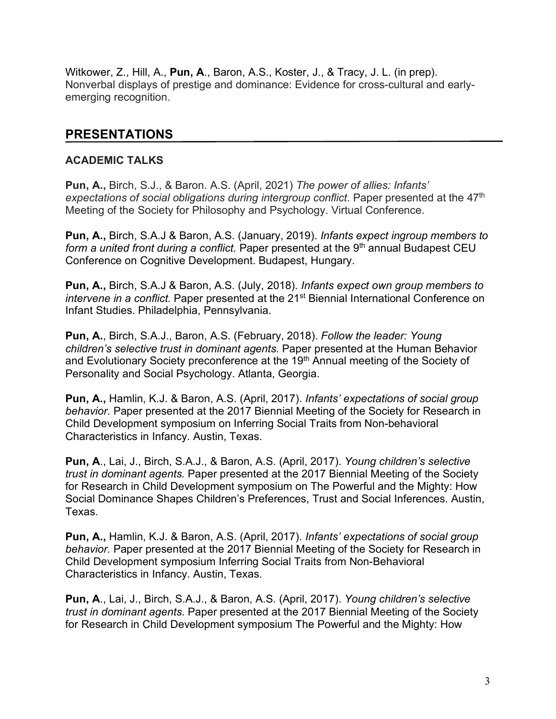Witkower, Z., Hill, A., **Pun, A**., Baron, A.S., Koster, J., & Tracy, J. L. (in prep). Nonverbal displays of prestige and dominance: Evidence for cross-cultural and earlyemerging recognition.

## **PRESENTATIONS**

## **ACADEMIC TALKS**

**Pun, A.,** Birch, S.J., & Baron. A.S. (April, 2021) *The power of allies: Infants' expectations of social obligations during intergroup conflict*. Paper presented at the 47th Meeting of the Society for Philosophy and Psychology. Virtual Conference.

**Pun, A.,** Birch, S.A.J & Baron, A.S. (January, 2019). *Infants expect ingroup members to form a united front during a conflict.* Paper presented at the 9<sup>th</sup> annual Budapest CEU Conference on Cognitive Development. Budapest, Hungary.

**Pun, A.,** Birch, S.A.J & Baron, A.S. (July, 2018). *Infants expect own group members to intervene in a conflict.* Paper presented at the 21<sup>st</sup> Biennial International Conference on Infant Studies. Philadelphia, Pennsylvania.

**Pun, A.**, Birch, S.A.J., Baron, A.S. (February, 2018). *Follow the leader: Young children's selective trust in dominant agents.* Paper presented at the Human Behavior and Evolutionary Society preconference at the 19<sup>th</sup> Annual meeting of the Society of Personality and Social Psychology. Atlanta, Georgia.

**Pun, A.,** Hamlin, K.J. & Baron, A.S. (April, 2017). *Infants' expectations of social group behavior.* Paper presented at the 2017 Biennial Meeting of the Society for Research in Child Development symposium on Inferring Social Traits from Non-behavioral Characteristics in Infancy. Austin, Texas.

**Pun, A**., Lai, J., Birch, S.A.J., & Baron, A.S. (April, 2017). *Young children's selective trust in dominant agents.* Paper presented at the 2017 Biennial Meeting of the Society for Research in Child Development symposium on The Powerful and the Mighty: How Social Dominance Shapes Children's Preferences, Trust and Social Inferences. Austin, Texas.

**Pun, A.,** Hamlin, K.J. & Baron, A.S. (April, 2017). *Infants' expectations of social group behavior.* Paper presented at the 2017 Biennial Meeting of the Society for Research in Child Development symposium Inferring Social Traits from Non-Behavioral Characteristics in Infancy. Austin, Texas.

**Pun, A**., Lai, J., Birch, S.A.J., & Baron, A.S. (April, 2017). *Young children's selective trust in dominant agents*. Paper presented at the 2017 Biennial Meeting of the Society for Research in Child Development symposium The Powerful and the Mighty: How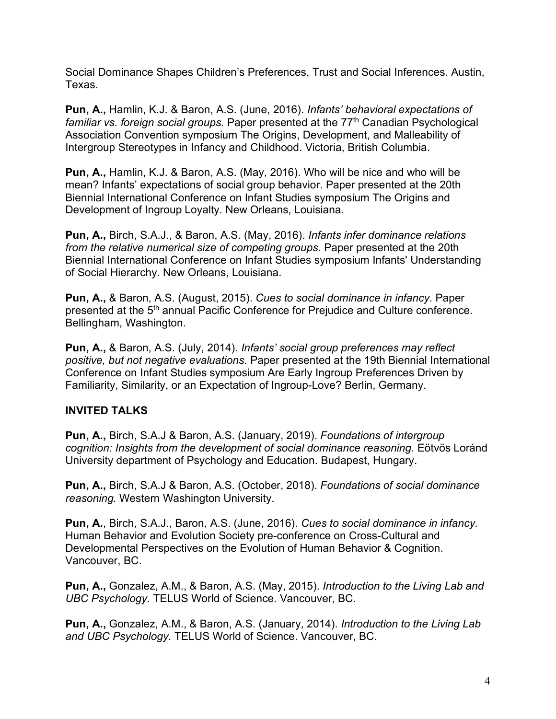Social Dominance Shapes Children's Preferences, Trust and Social Inferences. Austin, Texas.

**Pun, A.,** Hamlin, K.J. & Baron, A.S. (June, 2016). *Infants' behavioral expectations of*  familiar vs. foreign social groups. Paper presented at the 77<sup>th</sup> Canadian Psychological Association Convention symposium The Origins, Development, and Malleability of Intergroup Stereotypes in Infancy and Childhood. Victoria, British Columbia.

**Pun, A.,** Hamlin, K.J. & Baron, A.S. (May, 2016). Who will be nice and who will be mean? Infants' expectations of social group behavior. Paper presented at the 20th Biennial International Conference on Infant Studies symposium The Origins and Development of Ingroup Loyalty. New Orleans, Louisiana.

**Pun, A.,** Birch, S.A.J., & Baron, A.S. (May, 2016). *Infants infer dominance relations from the relative numerical size of competing groups.* Paper presented at the 20th Biennial International Conference on Infant Studies symposium Infants' Understanding of Social Hierarchy. New Orleans, Louisiana.

**Pun, A.,** & Baron, A.S. (August, 2015). *Cues to social dominance in infancy.* Paper presented at the 5<sup>th</sup> annual Pacific Conference for Prejudice and Culture conference. Bellingham, Washington.

**Pun, A.,** & Baron, A.S. (July, 2014). *Infants' social group preferences may reflect positive, but not negative evaluations.* Paper presented at the 19th Biennial International Conference on Infant Studies symposium Are Early Ingroup Preferences Driven by Familiarity, Similarity, or an Expectation of Ingroup-Love? Berlin, Germany.

## **INVITED TALKS**

**Pun, A.,** Birch, S.A.J & Baron, A.S. (January, 2019). *Foundations of intergroup cognition: Insights from the development of social dominance reasoning.* Eötvös Loránd University department of Psychology and Education. Budapest, Hungary.

**Pun, A.,** Birch, S.A.J & Baron, A.S. (October, 2018). *Foundations of social dominance reasoning.* Western Washington University.

**Pun, A.**, Birch, S.A.J., Baron, A.S. (June, 2016). *Cues to social dominance in infancy.* Human Behavior and Evolution Society pre-conference on Cross-Cultural and Developmental Perspectives on the Evolution of Human Behavior & Cognition. Vancouver, BC.

**Pun, A.,** Gonzalez, A.M., & Baron, A.S. (May, 2015). *Introduction to the Living Lab and UBC Psychology.* TELUS World of Science. Vancouver, BC.

**Pun, A.,** Gonzalez, A.M., & Baron, A.S. (January, 2014). *Introduction to the Living Lab and UBC Psychology.* TELUS World of Science. Vancouver, BC.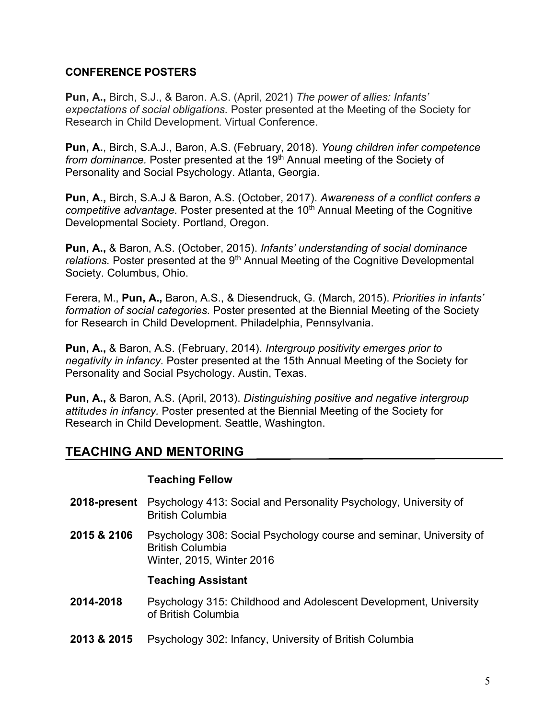## **CONFERENCE POSTERS**

**Pun, A.,** Birch, S.J., & Baron. A.S. (April, 2021) *The power of allies: Infants' expectations of social obligations.* Poster presented at the Meeting of the Society for Research in Child Development. Virtual Conference.

**Pun, A.**, Birch, S.A.J., Baron, A.S. (February, 2018). *Young children infer competence from dominance.* Poster presented at the 19<sup>th</sup> Annual meeting of the Society of Personality and Social Psychology. Atlanta, Georgia.

**Pun, A.,** Birch, S.A.J & Baron, A.S. (October, 2017). *Awareness of a conflict confers a competitive advantage.* Poster presented at the 10<sup>th</sup> Annual Meeting of the Cognitive Developmental Society. Portland, Oregon.

**Pun, A.,** & Baron, A.S. (October, 2015). *Infants' understanding of social dominance*  relations. Poster presented at the 9<sup>th</sup> Annual Meeting of the Cognitive Developmental Society. Columbus, Ohio.

Ferera, M., **Pun, A.,** Baron, A.S., & Diesendruck, G. (March, 2015). *Priorities in infants' formation of social categories.* Poster presented at the Biennial Meeting of the Society for Research in Child Development. Philadelphia, Pennsylvania.

**Pun, A.,** & Baron, A.S. (February, 2014). *Intergroup positivity emerges prior to negativity in infancy.* Poster presented at the 15th Annual Meeting of the Society for Personality and Social Psychology. Austin, Texas.

**Pun, A.,** & Baron, A.S. (April, 2013). *Distinguishing positive and negative intergroup attitudes in infancy.* Poster presented at the Biennial Meeting of the Society for Research in Child Development. Seattle, Washington.

## **TEACHING AND MENTORING**

## **Teaching Fellow**

- **2018-present** Psychology 413: Social and Personality Psychology, University of British Columbia
- **2015 & 2106** Psychology 308: Social Psychology course and seminar, University of British Columbia Winter, 2015, Winter 2016

## **Teaching Assistant**

- **2014-2018** Psychology 315: Childhood and Adolescent Development, University of British Columbia
- **2013 & 2015** Psychology 302: Infancy, University of British Columbia